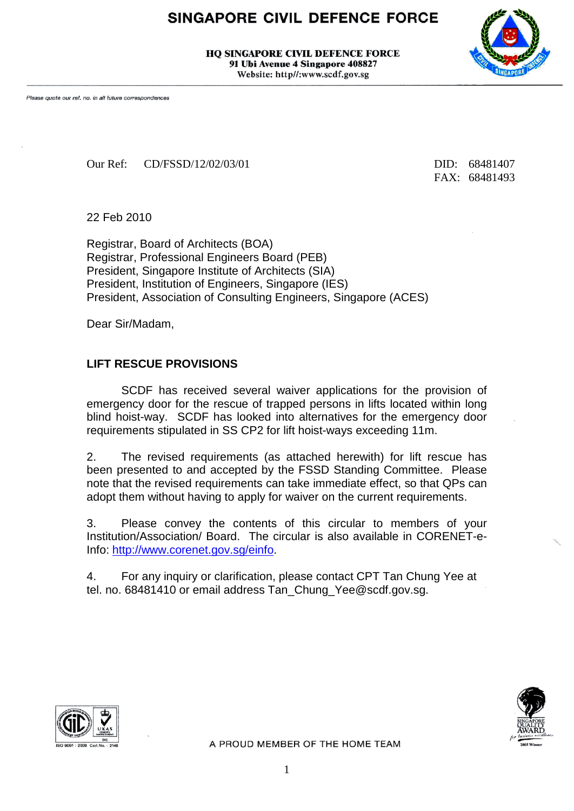## **SINGAPORE CIVIL DEFENCE FORCE**

**HO SINGAPORE CIVIL DEFENCE FORCE** 91 Ubi Avenue 4 Singapore 408827 Website: http//:www.scdf.gov.sg

Please quote our ref. no. in all future correspondences

Our Ref: CD/FSSD/12/02/03/01 DID: 68481407

FAX: 68481493

22 Feb 2010

Registrar, Board of Architects (BOA) Registrar, Professional Engineers Board (PEB) President, Singapore Institute of Architects (SIA) President, Institution of Engineers, Singapore (IES) President, Association of Consulting Engineers, Singapore (ACES)

Dear Sir/Madam,

#### **LIFT RESCUE PROVISIONS**

SCDF has received several waiver applications for the provision of emergency door for the rescue of trapped persons in lifts located within long blind hoist-way. SCDF has looked into alternatives for the emergency door requirements stipulated in SS CP2 for lift hoist-ways exceeding 11m.

2. The revised requirements (as attached herewith) for lift rescue has been presented to and accepted by the FSSD Standing Committee. Please note that the revised requirements can take immediate effect, so that QPs can adopt them without having to apply for waiver on the current requirements.

3. Please convey the contents of this circular to members of your Institution/Association/ Board. The circular is also available in CORENET-e-Info: [http://www.corenet.gov.sg/einfo.](http://www.corenet.gov.sg/einfo)

4. For any inquiry or clarification, please contact CPT Tan Chung Yee at tel. no. 68481410 or email address Tan\_Chung\_Yee@scdf.gov.sg.





A PROUD MEMBER OF THE HOME TEAM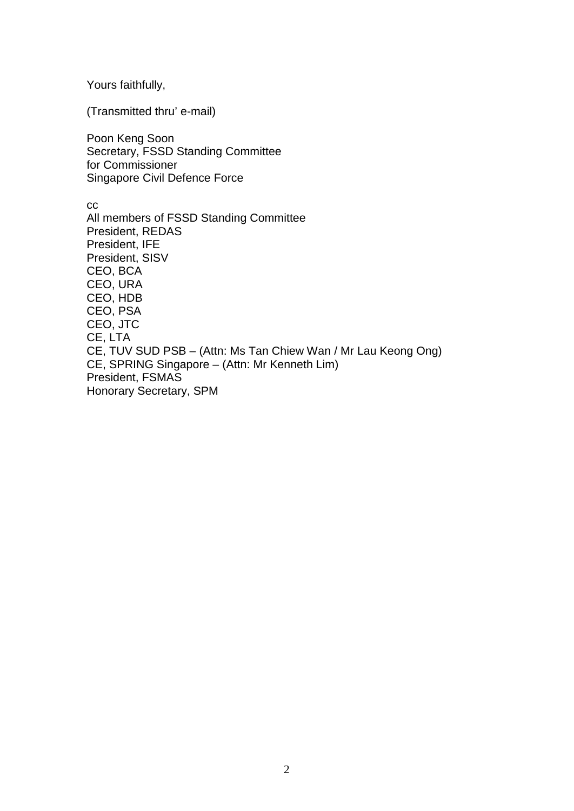Yours faithfully,

(Transmitted thru' e-mail)

Poon Keng Soon Secretary, FSSD Standing Committee for Commissioner Singapore Civil Defence Force

cc All members of FSSD Standing Committee President, REDAS President, IFE President, SISV CEO, BCA CEO, URA CEO, HDB CEO, PSA CEO, JTC CE, LTA CE, TUV SUD PSB – (Attn: Ms Tan Chiew Wan / Mr Lau Keong Ong) CE, SPRING Singapore – (Attn: Mr Kenneth Lim) President, FSMAS Honorary Secretary, SPM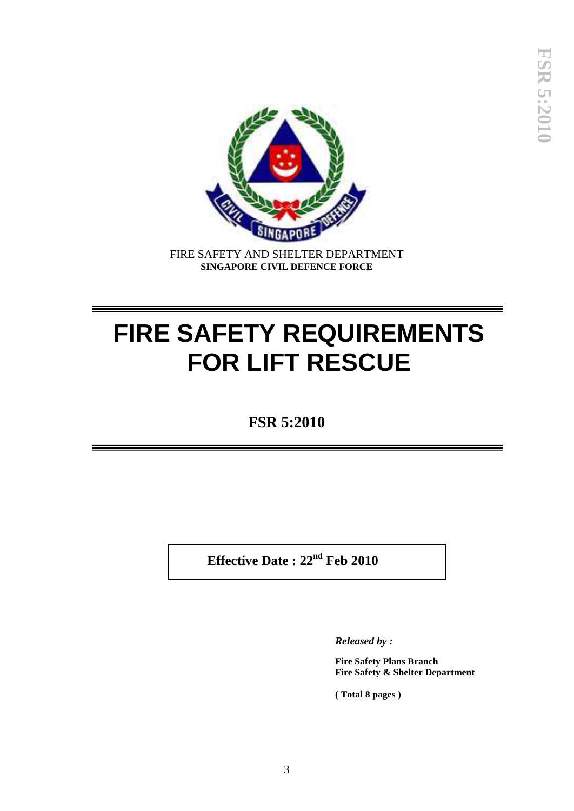

FIRE SAFETY AND SHELTER DEPARTMENT **SINGAPORE CIVIL DEFENCE FORCE**

# **FIRE SAFETY REQUIREMENTS FOR LIFT RESCUE**

**FSR 5:2010**

 **Effective Date : 22nd Feb 2010**

*Released by :*

**Fire Safety Plans Branch Fire Safety & Shelter Department**

**( Total 8 pages )**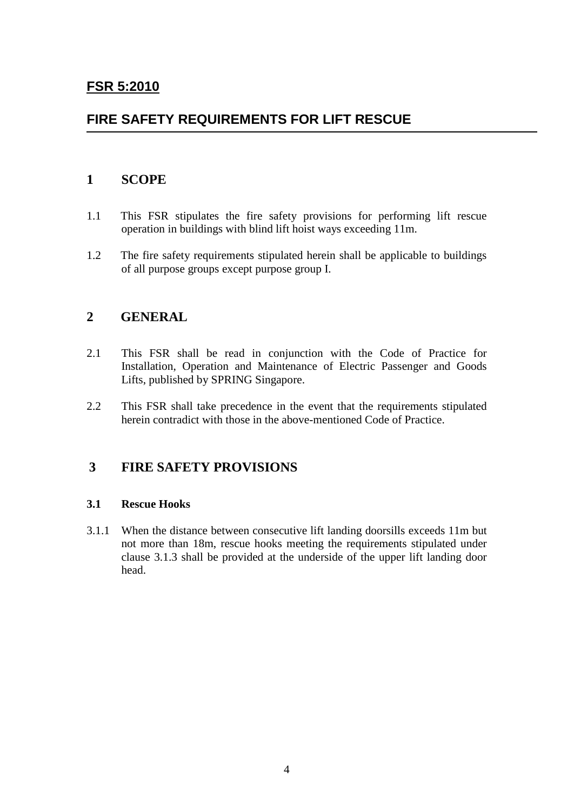## **FSR 5:2010**

## **FIRE SAFETY REQUIREMENTS FOR LIFT RESCUE**

### **1 SCOPE**

- 1.1 This FSR stipulates the fire safety provisions for performing lift rescue operation in buildings with blind lift hoist ways exceeding 11m.
- 1.2 The fire safety requirements stipulated herein shall be applicable to buildings of all purpose groups except purpose group I.

## **2 GENERAL**

- 2.1 This FSR shall be read in conjunction with the Code of Practice for Installation, Operation and Maintenance of Electric Passenger and Goods Lifts, published by SPRING Singapore.
- 2.2 This FSR shall take precedence in the event that the requirements stipulated herein contradict with those in the above-mentioned Code of Practice.

## **3 FIRE SAFETY PROVISIONS**

#### **3.1 Rescue Hooks**

3.1.1 When the distance between consecutive lift landing doorsills exceeds 11m but not more than 18m, rescue hooks meeting the requirements stipulated under clause 3.1.3 shall be provided at the underside of the upper lift landing door head.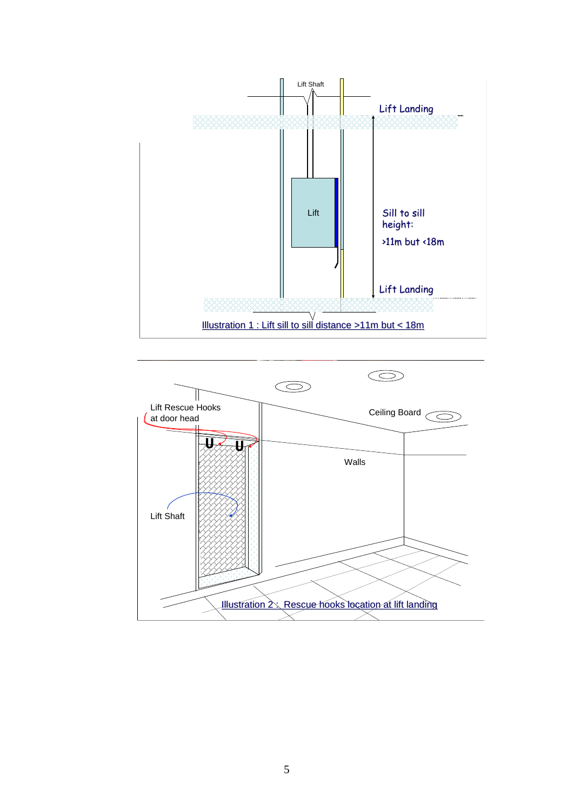

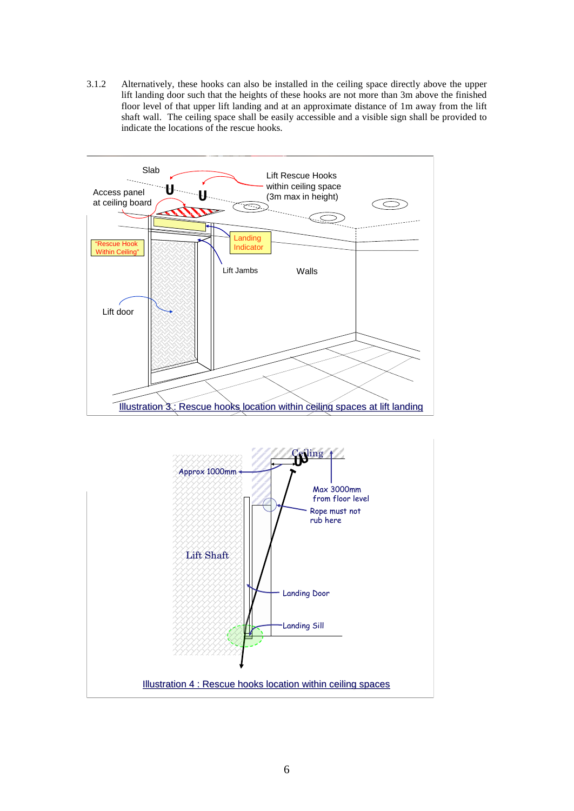3.1.2 Alternatively, these hooks can also be installed in the ceiling space directly above the upper lift landing door such that the heights of these hooks are not more than 3m above the finished floor level of that upper lift landing and at an approximate distance of 1m away from the lift shaft wall. The ceiling space shall be easily accessible and a visible sign shall be provided to indicate the locations of the rescue hooks.



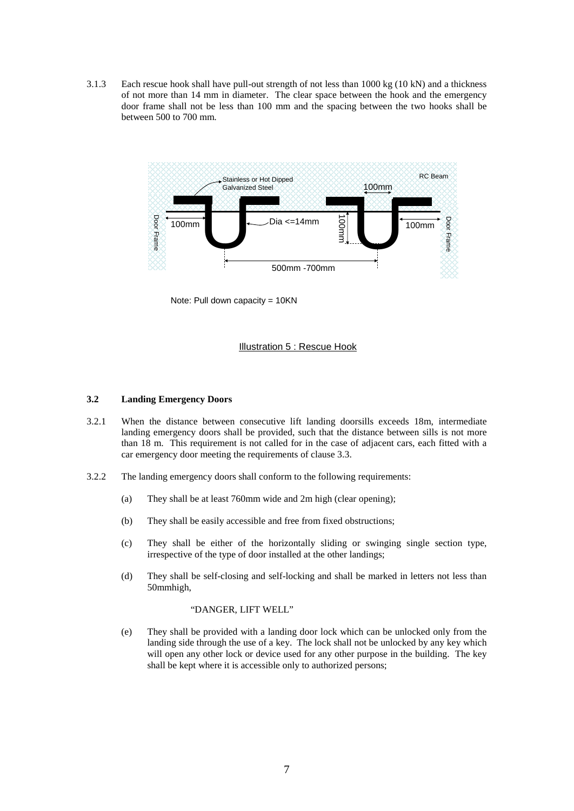3.1.3 Each rescue hook shall have pull-out strength of not less than 1000 kg (10 kN) and a thickness of not more than 14 mm in diameter. The clear space between the hook and the emergency door frame shall not be less than 100 mm and the spacing between the two hooks shall be between 500 to 700 mm.



Note: Pull down capacity = 10KN

#### Illustration 5 : Rescue Hook

#### **3.2 Landing Emergency Doors**

- 3.2.1 When the distance between consecutive lift landing doorsills exceeds 18m, intermediate landing emergency doors shall be provided, such that the distance between sills is not more than 18 m. This requirement is not called for in the case of adjacent cars, each fitted with a car emergency door meeting the requirements of clause 3.3.
- 3.2.2 The landing emergency doors shall conform to the following requirements:
	- (a) They shall be at least 760mm wide and 2m high (clear opening);
	- (b) They shall be easily accessible and free from fixed obstructions;
	- (c) They shall be either of the horizontally sliding or swinging single section type, irrespective of the type of door installed at the other landings;
	- (d) They shall be self-closing and self-locking and shall be marked in letters not less than 50mmhigh,

#### "DANGER, LIFT WELL"

(e) They shall be provided with a landing door lock which can be unlocked only from the landing side through the use of a key. The lock shall not be unlocked by any key which will open any other lock or device used for any other purpose in the building. The key shall be kept where it is accessible only to authorized persons;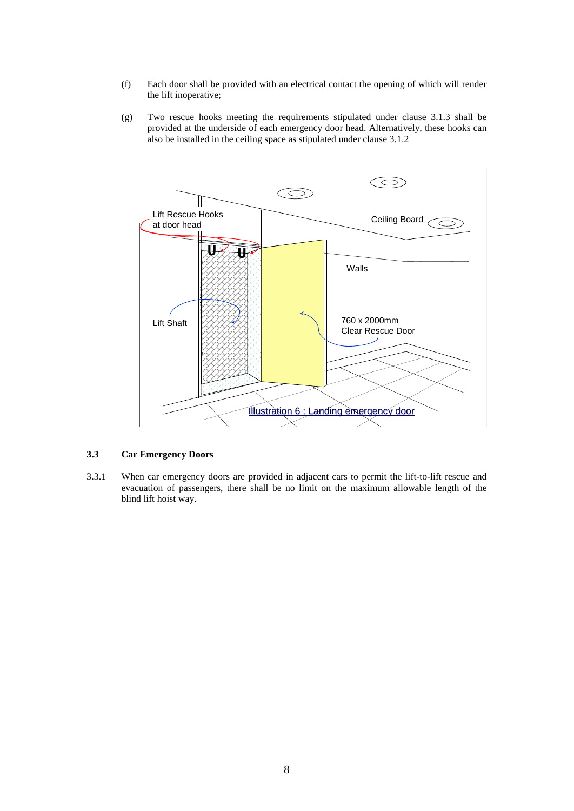- (f) Each door shall be provided with an electrical contact the opening of which will render the lift inoperative;
- (g) Two rescue hooks meeting the requirements stipulated under clause 3.1.3 shall be provided at the underside of each emergency door head. Alternatively, these hooks can also be installed in the ceiling space as stipulated under clause 3.1.2



#### **3.3 Car Emergency Doors**

3.3.1 When car emergency doors are provided in adjacent cars to permit the lift-to-lift rescue and evacuation of passengers, there shall be no limit on the maximum allowable length of the blind lift hoist way.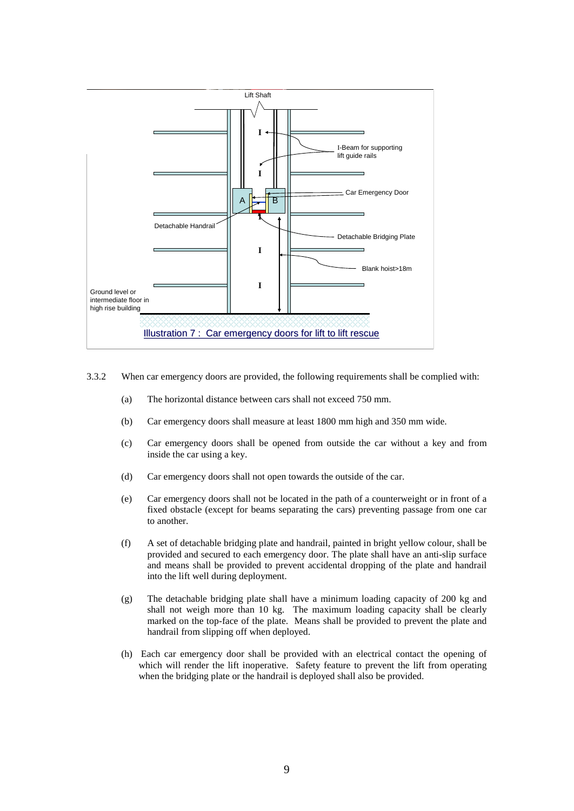

- 3.3.2 When car emergency doors are provided, the following requirements shall be complied with:
	- (a) The horizontal distance between cars shall not exceed 750 mm.
	- (b) Car emergency doors shall measure at least 1800 mm high and 350 mm wide.
	- (c) Car emergency doors shall be opened from outside the car without a key and from inside the car using a key.
	- (d) Car emergency doors shall not open towards the outside of the car.
	- (e) Car emergency doors shall not be located in the path of a counterweight or in front of a fixed obstacle (except for beams separating the cars) preventing passage from one car to another.
	- (f) A set of detachable bridging plate and handrail, painted in bright yellow colour, shall be provided and secured to each emergency door. The plate shall have an anti-slip surface and means shall be provided to prevent accidental dropping of the plate and handrail into the lift well during deployment.
	- (g) The detachable bridging plate shall have a minimum loading capacity of 200 kg and shall not weigh more than 10 kg. The maximum loading capacity shall be clearly marked on the top-face of the plate. Means shall be provided to prevent the plate and handrail from slipping off when deployed.
	- (h) Each car emergency door shall be provided with an electrical contact the opening of which will render the lift inoperative. Safety feature to prevent the lift from operating when the bridging plate or the handrail is deployed shall also be provided.